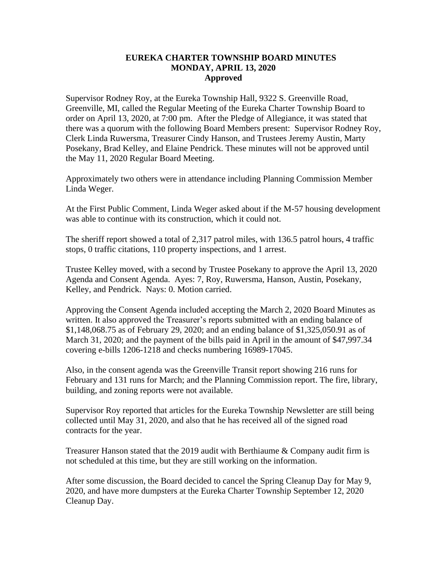## **EUREKA CHARTER TOWNSHIP BOARD MINUTES MONDAY, APRIL 13, 2020 Approved**

Supervisor Rodney Roy, at the Eureka Township Hall, 9322 S. Greenville Road, Greenville, MI, called the Regular Meeting of the Eureka Charter Township Board to order on April 13, 2020, at 7:00 pm. After the Pledge of Allegiance, it was stated that there was a quorum with the following Board Members present: Supervisor Rodney Roy, Clerk Linda Ruwersma, Treasurer Cindy Hanson, and Trustees Jeremy Austin, Marty Posekany, Brad Kelley, and Elaine Pendrick. These minutes will not be approved until the May 11, 2020 Regular Board Meeting.

Approximately two others were in attendance including Planning Commission Member Linda Weger.

At the First Public Comment, Linda Weger asked about if the M-57 housing development was able to continue with its construction, which it could not.

The sheriff report showed a total of 2,317 patrol miles, with 136.5 patrol hours, 4 traffic stops, 0 traffic citations, 110 property inspections, and 1 arrest.

Trustee Kelley moved, with a second by Trustee Posekany to approve the April 13, 2020 Agenda and Consent Agenda. Ayes: 7, Roy, Ruwersma, Hanson, Austin, Posekany, Kelley, and Pendrick. Nays: 0. Motion carried.

Approving the Consent Agenda included accepting the March 2, 2020 Board Minutes as written. It also approved the Treasurer's reports submitted with an ending balance of \$1,148,068.75 as of February 29, 2020; and an ending balance of \$1,325,050.91 as of March 31, 2020; and the payment of the bills paid in April in the amount of \$47,997.34 covering e-bills 1206-1218 and checks numbering 16989-17045.

Also, in the consent agenda was the Greenville Transit report showing 216 runs for February and 131 runs for March; and the Planning Commission report. The fire, library, building, and zoning reports were not available.

Supervisor Roy reported that articles for the Eureka Township Newsletter are still being collected until May 31, 2020, and also that he has received all of the signed road contracts for the year.

Treasurer Hanson stated that the 2019 audit with Berthiaume & Company audit firm is not scheduled at this time, but they are still working on the information.

After some discussion, the Board decided to cancel the Spring Cleanup Day for May 9, 2020, and have more dumpsters at the Eureka Charter Township September 12, 2020 Cleanup Day.